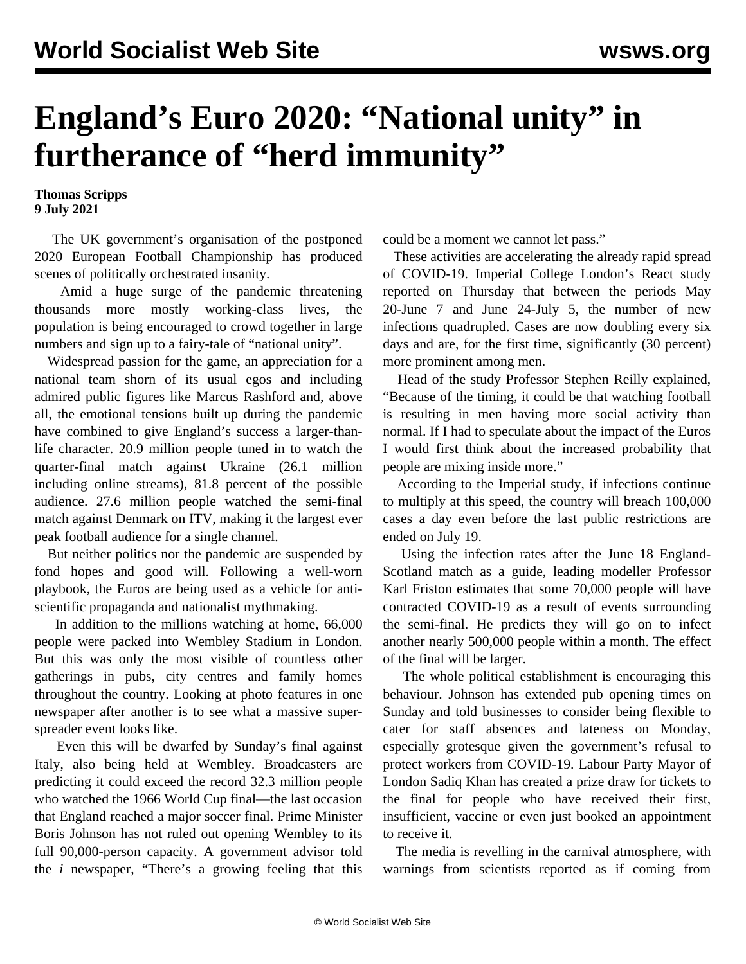## **England's Euro 2020: "National unity" in furtherance of "herd immunity"**

**Thomas Scripps 9 July 2021**

 The UK government's organisation of the postponed 2020 European Football Championship has produced scenes of politically orchestrated insanity.

 Amid a huge surge of the pandemic threatening thousands more mostly working-class lives, the population is being encouraged to crowd together in large numbers and sign up to a fairy-tale of "national unity".

 Widespread passion for the game, an appreciation for a national team shorn of its usual egos and including admired public figures like Marcus Rashford and, above all, the emotional tensions built up during the pandemic have combined to give England's success a larger-thanlife character. 20.9 million people tuned in to watch the quarter-final match against Ukraine (26.1 million including online streams), 81.8 percent of the possible audience. 27.6 million people watched the semi-final match against Denmark on ITV, making it the largest ever peak football audience for a single channel.

 But neither politics nor the pandemic are suspended by fond hopes and good will. Following a well-worn playbook, the Euros are being used as a vehicle for antiscientific propaganda and nationalist mythmaking.

 In addition to the millions watching at home, 66,000 people were packed into Wembley Stadium in London. But this was only the most visible of countless other gatherings in pubs, city centres and family homes throughout the country. Looking at photo features in one newspaper after another is to see what a massive superspreader event looks like.

 Even this will be dwarfed by Sunday's final against Italy, also being held at Wembley. Broadcasters are predicting it could exceed the record 32.3 million people who watched the 1966 World Cup final—the last occasion that England reached a major soccer final. Prime Minister Boris Johnson has not ruled out opening Wembley to its full 90,000-person capacity. A government advisor told the *i* newspaper, "There's a growing feeling that this

could be a moment we cannot let pass."

 These activities are accelerating the already rapid spread of COVID-19. Imperial College London's React study reported on Thursday that between the periods May 20-June 7 and June 24-July 5, the number of new infections quadrupled. Cases are now doubling every six days and are, for the first time, significantly (30 percent) more prominent among men.

 Head of the study Professor Stephen Reilly explained, "Because of the timing, it could be that watching football is resulting in men having more social activity than normal. If I had to speculate about the impact of the Euros I would first think about the increased probability that people are mixing inside more."

 According to the Imperial study, if infections continue to multiply at this speed, the country will breach 100,000 cases a day even before the last public restrictions are ended on July 19.

 Using the infection rates after the June 18 England-Scotland match as a guide, leading modeller Professor Karl Friston estimates that some 70,000 people will have contracted COVID-19 as a result of events surrounding the semi-final. He predicts they will go on to infect another nearly 500,000 people within a month. The effect of the final will be larger.

 The whole political establishment is encouraging this behaviour. Johnson has extended pub opening times on Sunday and told businesses to consider being flexible to cater for staff absences and lateness on Monday, especially grotesque given the government's refusal to protect workers from COVID-19. Labour Party Mayor of London Sadiq Khan has created a prize draw for tickets to the final for people who have received their first, insufficient, vaccine or even just booked an appointment to receive it.

 The media is revelling in the carnival atmosphere, with warnings from scientists reported as if coming from